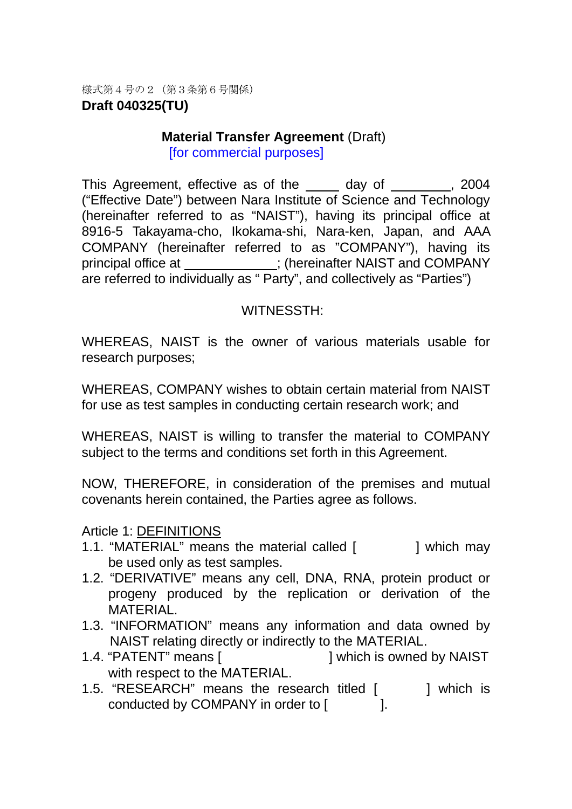様式第4号の2(第3条第6号関係) **Draft 040325(TU)** 

### **Material Transfer Agreement (Draft)** [for commercial purposes]

This Agreement, effective as of the day of , 2004 ("Effective Date") between Nara Institute of Science and Technology (hereinafter referred to as "NAIST"), having its principal office at 8916-5 Takayama-cho, Ikokama-shi, Nara-ken, Japan, and AAA COMPANY (hereinafter referred to as "COMPANY"), having its principal office at \_\_\_\_\_\_\_\_\_\_\_; (hereinafter NAIST and COMPANY are referred to individually as " Party", and collectively as "Parties")

## WITNESSTH:

WHEREAS, NAIST is the owner of various materials usable for research purposes;

WHEREAS, COMPANY wishes to obtain certain material from NAIST for use as test samples in conducting certain research work; and

WHEREAS, NAIST is willing to transfer the material to COMPANY subject to the terms and conditions set forth in this Agreement.

NOW, THEREFORE, in consideration of the premises and mutual covenants herein contained, the Parties agree as follows.

## Article 1: DEFINITIONS

- 1.1. "MATERIAL" means the material called [ ] which may be used only as test samples.
- 1.2. "DERIVATIVE" means any cell, DNA, RNA, protein product or progeny produced by the replication or derivation of the MATERIAL.
- 1.3. "INFORMATION" means any information and data owned by NAIST relating directly or indirectly to the MATERIAL.
- 1.4. "PATENT" means [  $\qquad \qquad$  ] which is owned by NAIST with respect to the MATERIAL.
- 1.5. "RESEARCH" means the research titled [ ] which is conducted by COMPANY in order to [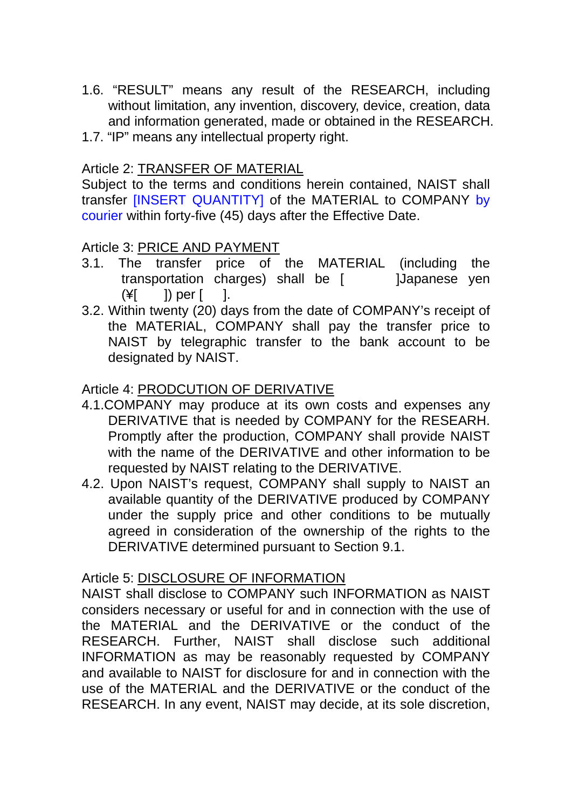- 1.6. "RESULT" means any result of the RESEARCH, including without limitation, any invention, discovery, device, creation, data and information generated, made or obtained in the RESEARCH.
- 1.7. "IP" means any intellectual property right.

## Article 2: **TRANSFER OF MATERIAL**

Subject to the terms and conditions herein contained, NAIST shall transfer [INSERT QUANTITY] of the MATERIAL to COMPANY by courier within forty-five (45) days after the Effective Date.

## Article 3: **PRICE AND PAYMENT**

- 3.1. The transfer price of the MATERIAL (including the transportation charges) shall be [ Japanese yen  $(\yen \)$  per  $\Box$ .
- 3.2. Within twenty (20) days from the date of COMPANY's receipt of the MATERIAL, COMPANY shall pay the transfer price to NAIST by telegraphic transfer to the bank account to be designated by NAIST.

# Article 4: **PRODCUTION OF DERIVATIVE**

- 4.1.COMPANY may produce at its own costs and expenses any DERIVATIVE that is needed by COMPANY for the RESEARH. Promptly after the production, COMPANY shall provide NAIST with the name of the DERIVATIVE and other information to be requested by NAIST relating to the DERIVATIVE.
- 4.2. Upon NAIST's request, COMPANY shall supply to NAIST an available quantity of the DERIVATIVE produced by COMPANY under the supply price and other conditions to be mutually agreed in consideration of the ownership of the rights to the DERIVATIVE determined pursuant to Section 9.1.

## Article 5: DISCLOSURE OF INFORMATION

NAIST shall disclose to COMPANY such INFORMATION as NAIST considers necessary or useful for and in connection with the use of the MATERIAL and the DERIVATIVE or the conduct of the RESEARCH. Further, NAIST shall disclose such additional INFORMATION as may be reasonably requested by COMPANY and available to NAIST for disclosure for and in connection with the use of the MATERIAL and the DERIVATIVE or the conduct of the RESEARCH. In any event, NAIST may decide, at its sole discretion,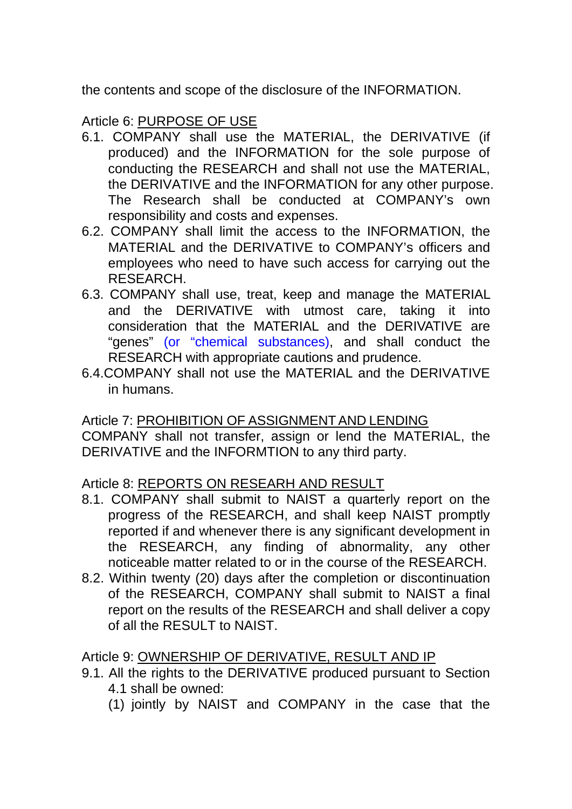the contents and scope of the disclosure of the INFORMATION.

# Article 6: PURPOSE OF USE

- 6.1. COMPANY shall use the MATERIAL, the DERIVATIVE (if produced) and the INFORMATION for the sole purpose of conducting the RESEARCH and shall not use the MATERIAL, the DERIVATIVE and the INFORMATION for any other purpose. The Research shall be conducted at COMPANY's own responsibility and costs and expenses.
- 6.2. COMPANY shall limit the access to the INFORMATION, the MATERIAL and the DERIVATIVE to COMPANY's officers and employees who need to have such access for carrying out the RESEARCH.
- 6.3. COMPANY shall use, treat, keep and manage the MATERIAL and the DERIVATIVE with utmost care, taking it into consideration that the MATERIAL and the DERIVATIVE are "genes" (or "chemical substances), and shall conduct the RESEARCH with appropriate cautions and prudence.
- 6.4. COMPANY shall not use the MATERIAL and the DERIVATIVE in humans.

Article 7: PROHIBITION OF ASSIGNMENT AND LENDING COMPANY shall not transfer, assign or lend the MATERIAL, the DERIVATIVE and the INFORMTION to any third party.

## Article 8: REPORTS ON RESEARH AND RESULT

- 8.1. COMPANY shall submit to NAIST a quarterly report on the progress of the RESEARCH, and shall keep NAIST promptly reported if and whenever there is any significant development in the RESEARCH, any finding of abnormality, any other noticeable matter related to or in the course of the RESEARCH.
- 8.2. Within twenty (20) days after the completion or discontinuation of the RESEARCH, COMPANY shall submit to NAIST a final report on the results of the RESEARCH and shall deliver a copy of all the RESULT to NAIST.

## Article 9: OWNERSHIP OF DERIVATIVE, RESULT AND IP

- 9.1. All the rights to the DERIVATIVE produced pursuant to Section 4.1 shall be owned:
	- (1) jointly by NAIST and COMPANY in the case that the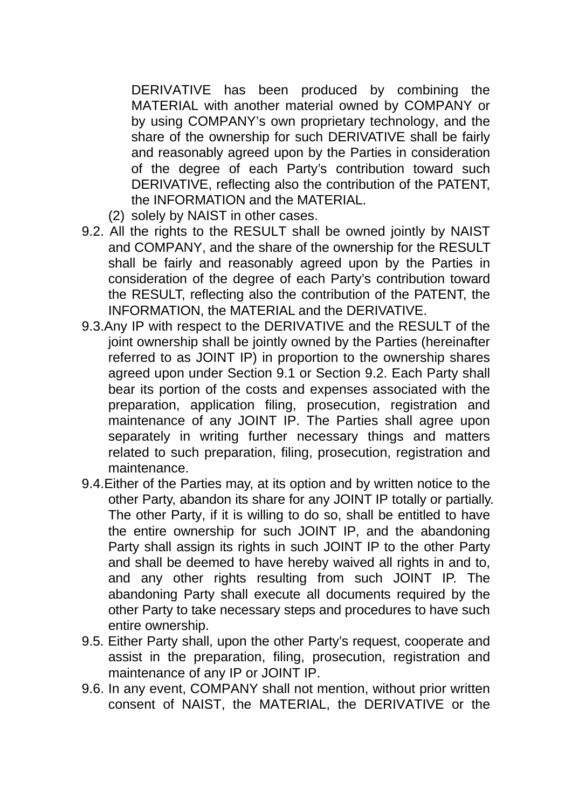DERIVATIVE has been produced by combining the MATERIAL with another material owned by COMPANY or by using COMPANY's own proprietary technology, and the share of the ownership for such DERIVATIVE shall be fairly and reasonably agreed upon by the Parties in consideration of the degree of each Party's contribution toward such DERIVATIVE, reflecting also the contribution of the PATENT, the INFORMATION and the MATERIAL.

- (2) solely by NAIST in other cases.
- 9.2. All the rights to the RESULT shall be owned jointly by NAIST and COMPANY, and the share of the ownership for the RESULT shall be fairly and reasonably agreed upon by the Parties in consideration of the degree of each Party's contribution toward the RESULT, reflecting also the contribution of the PATENT, the INFORMATION, the MATERIAL and the DERIVATIVE.
- 9.3. Any IP with respect to the DERIVATIVE and the RESULT of the joint ownership shall be jointly owned by the Parties (hereinafter referred to as JOINT IP) in proportion to the ownership shares agreed upon under Section 9.1 or Section 9.2. Each Party shall bear its portion of the costs and expenses associated with the preparation, application filing, prosecution, registration and maintenance of any JOINT IP. The Parties shall agree upon separately in writing further necessary things and matters related to such preparation, filing, prosecution, registration and maintenance.
- 9.4.Either of the Parties may, at its option and by written notice to the other Party, abandon its share for any JOINT IP totally or partially. The other Party, if it is willing to do so, shall be entitled to have the entire ownership for such JOINT IP, and the abandoning Party shall assign its rights in such JOINT IP to the other Party and shall be deemed to have hereby waived all rights in and to, and any other rights resulting from such JOINT IP. The abandoning Party shall execute all documents required by the other Party to take necessary steps and procedures to have such entire ownership.
- 9.5. Either Party shall, upon the other Party's request, cooperate and assist in the preparation, filing, prosecution, registration and maintenance of any IP or JOINT IP.
- 9.6. In any event, COMPANY shall not mention, without prior written consent of NAIST, the MATERIAL, the DERIVATIVE or the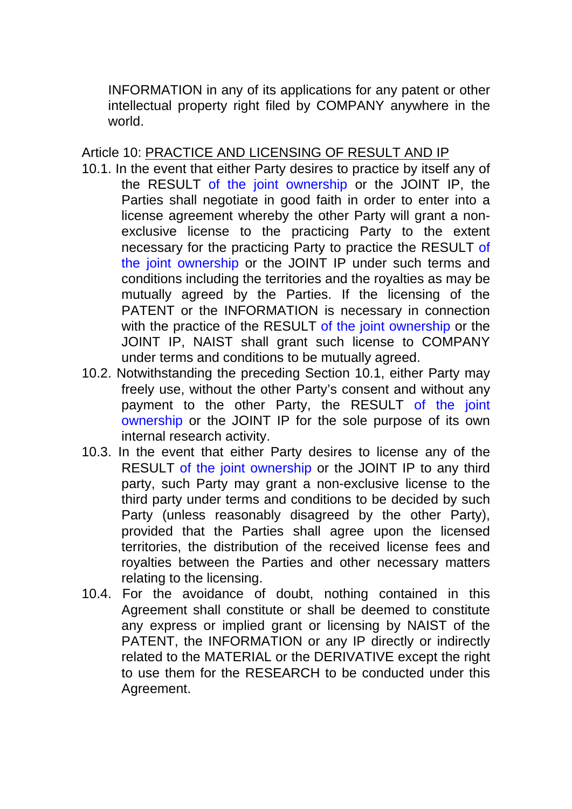INFORMATION in any of its applications for any patent or other intellectual property right filed by COMPANY anywhere in the world.

## Article 10: PRACTICE AND LICENSING OF RESULT AND IP

- 10.1. In the event that either Party desires to practice by itself any of the RESULT of the joint ownership or the JOINT IP, the Parties shall negotiate in good faith in order to enter into a license agreement whereby the other Party will grant a nonexclusive license to the practicing Party to the extent necessary for the practicing Party to practice the RESULT of the joint ownership or the JOINT IP under such terms and conditions including the territories and the royalties as may be mutually agreed by the Parties. If the licensing of the PATENT or the INFORMATION is necessary in connection with the practice of the RESULT of the joint ownership or the JOINT IP, NAIST shall grant such license to COMPANY under terms and conditions to be mutually agreed.
- 10.2. Notwithstanding the preceding Section 10.1, either Party may freely use, without the other Party's consent and without any payment to the other Party, the RESULT of the joint ownership or the JOINT IP for the sole purpose of its own internal research activity.
- 10.3. In the event that either Party desires to license any of the RESULT of the joint ownership or the JOINT IP to any third party, such Party may grant a non-exclusive license to the third party under terms and conditions to be decided by such Party (unless reasonably disagreed by the other Party), provided that the Parties shall agree upon the licensed territories, the distribution of the received license fees and royalties between the Parties and other necessary matters relating to the licensing.
- 10.4. For the avoidance of doubt, nothing contained in this Agreement shall constitute or shall be deemed to constitute any express or implied grant or licensing by NAIST of the PATENT, the INFORMATION or any IP directly or indirectly related to the MATERIAL or the DERIVATIVE except the right to use them for the RESEARCH to be conducted under this Agreement.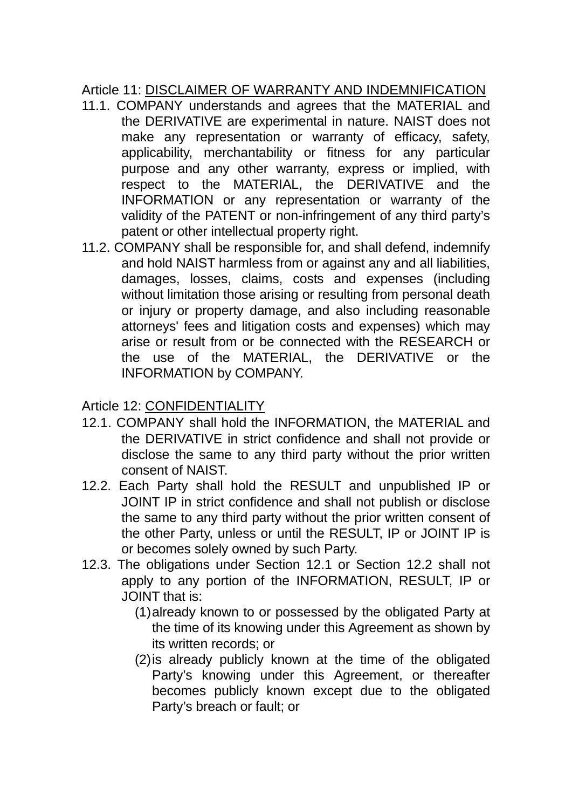# Article 11: DISCLAIMER OF WARRANTY AND INDEMNIFICATION

- 11.1. COMPANY understands and agrees that the MATERIAL and the DERIVATIVE are experimental in nature. NAIST does not make any representation or warranty of efficacy, safety, applicability, merchantability or fitness for any particular purpose and any other warranty, express or implied, with respect to the MATERIAL, the DERIVATIVE and the INFORMATION or any representation or warranty of the validity of the PATENT or non-infringement of any third party's patent or other intellectual property right.
- 11.2. COMPANY shall be responsible for, and shall defend, indemnify and hold NAIST harmless from or against any and all liabilities, damages, losses, claims, costs and expenses (including without limitation those arising or resulting from personal death or injury or property damage, and also including reasonable attorneys' fees and litigation costs and expenses) which may arise or result from or be connected with the RESEARCH or the use of the MATERIAL, the DERIVATIVE or the INFORMATION by COMPANY.

# Article 12: CONFIDENTIALITY

- 12.1. COMPANY shall hold the INFORMATION, the MATERIAL and the DERIVATIVE in strict confidence and shall not provide or disclose the same to any third party without the prior written consent of NAIST.
- 12.2. Each Party shall hold the RESULT and unpublished IP or JOINT IP in strict confidence and shall not publish or disclose the same to any third party without the prior written consent of the other Party, unless or until the RESULT, IP or JOINT IP is or becomes solely owned by such Party.
- 12.3. The obligations under Section 12.1 or Section 12.2 shall not apply to any portion of the INFORMATION, RESULT, IP or JOINT that is:
	- (1) already known to or possessed by the obligated Party at the time of its knowing under this Agreement as shown by its written records; or
	- $(2)$  is already publicly known at the time of the obligated Party's knowing under this Agreement, or thereafter becomes publicly known except due to the obligated Party's breach or fault; or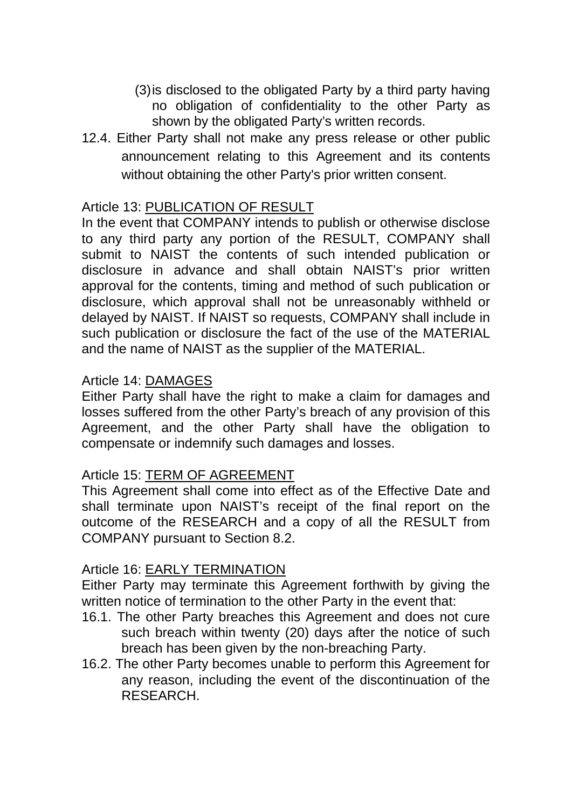- (3) is disclosed to the obligated Party by a third party having no obligation of confidentiality to the other Party as shown by the obligated Party's written records.
- 12.4. Either Party shall not make any press release or other public announcement relating to this Agreement and its contents without obtaining the other Party's prior written consent.

# Article 13: **PUBLICATION OF RESULT**

In the event that COMPANY intends to publish or otherwise disclose to any third party any portion of the RESULT, COMPANY shall submit to NAIST the contents of such intended publication or disclosure in advance and shall obtain NAIST's prior written approval for the contents, timing and method of such publication or disclosure, which approval shall not be unreasonably withheld or delayed by NAIST. If NAIST so requests, COMPANY shall include in such publication or disclosure the fact of the use of the MATERIAL and the name of NAIST as the supplier of the MATERIAL.

## Article 14: DAMAGES

Either Party shall have the right to make a claim for damages and losses suffered from the other Party's breach of any provision of this Agreement, and the other Party shall have the obligation to compensate or indemnify such damages and losses.

## Article 15: TERM OF AGREEMENT

This Agreement shall come into effect as of the Effective Date and shall terminate upon NAIST's receipt of the final report on the outcome of the RESEARCH and a copy of all the RESULT from COMPANY pursuant to Section 8.2.

### Article 16: <u>EARLY TERMINATION</u>

Either Party may terminate this Agreement forthwith by giving the written notice of termination to the other Party in the event that:

- 16.1. The other Party breaches this Agreement and does not cure such breach within twenty (20) days after the notice of such breach has been given by the non-breaching Party.
- 16.2. The other Party becomes unable to perform this Agreement for any reason, including the event of the discontinuation of the RESEARCH.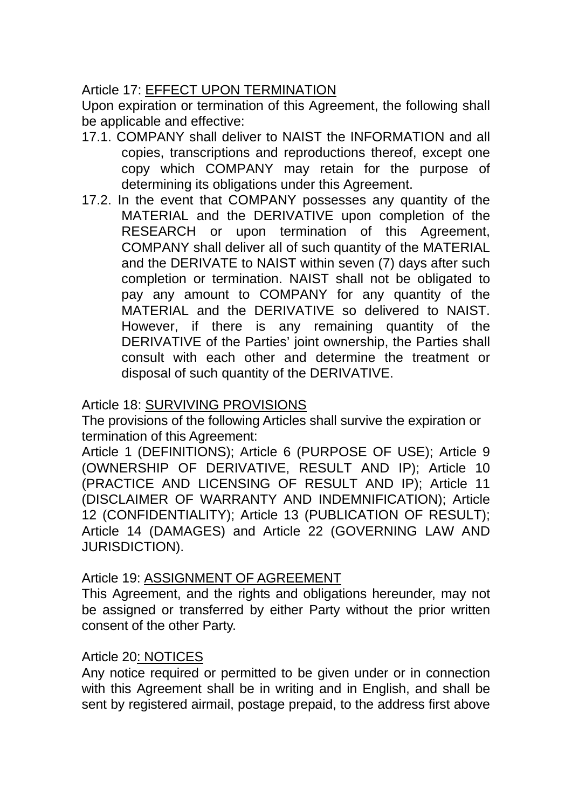# Article 17: EFFECT UPON TERMINATION

Upon expiration or termination of this Agreement, the following shall be applicable and effective:

- 17.1. COMPANY shall deliver to NAIST the INFORMATION and all copies, transcriptions and reproductions thereof, except one copy which COMPANY may retain for the purpose of determining its obligations under this Agreement.
- 17.2. I n the event that COMPANY possesses any quantity of the MATERIAL and the DERIVATIVE upon completion of the RESEARCH or upon termination of this Agreement, COMPANY shall deliver all of such quantity of the MATERIAL and the DERIVATE to NAIST within seven (7) days after such completion or termination. NAIST shall not be obligated to pay any amount to COMPANY for any quantity of the MATERIAL and the DERIVATIVE so delivered to NAIST. However, if there is any remaining quantity of the DERIVATIVE of the Parties' joint ownership, the Parties shall consult with each other and determine the treatment or disposal of such quantity of the DERIVATIVE.

## Article 18: **SURVIVING PROVISIONS**

The provisions of the following Articles shall survive the expiration or termination of this Agreement:

Article 1 (DEFINITIONS); Article 6 (PURPOSE OF USE); Article 9 (OWNERSHIP OF DERIVATIVE, RESULT AND IP); Article 10 (PRACTICE AND LICENSING OF RESULT AND IP); Article 11 (DISCLAIMER OF WARRANTY AND INDEMNIFICATION); Article 12 (CONFIDENTIALITY); Article 13 (PUBLICATION OF RESULT); Article 14 (DAMAGES) and Article 22 (GOVERNING LAW AND JURISDICTION).

## Article 19: ASSIGNMENT OF AGREEMENT

This Agreement, and the rights and obligations hereunder, may not be assigned or transferred by either Party without the prior written consent of the other Party.

### Article 20: NOTICES

Any notice required or permitted to be given under or in connection with this Agreement shall be in writing and in English, and shall be sent by registered airmail, postage prepaid, to the address first above